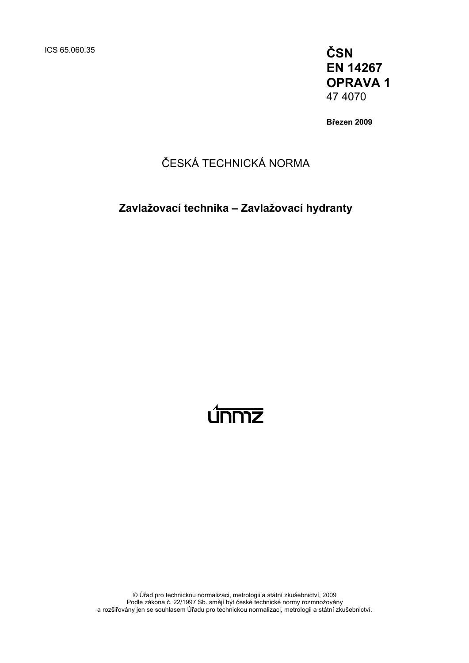ICS 65.060.35 **ČSN EN 14267 OPRAVA 1**  47 4070

**Březen 2009** 

### ČESKÁ TECHNICKÁ NORMA

**Zavlažovací technika – Zavlažovací hydranty** 

# <u>únmz</u>

© Úřad pro technickou normalizaci, metrologii a státní zkušebnictví, 2009 Podle zákona č. 22/1997 Sb. smějí být české technické normy rozmnožovány a rozšiřovány jen se souhlasem Úřadu pro technickou normalizaci, metrologii a státní zkušebnictví.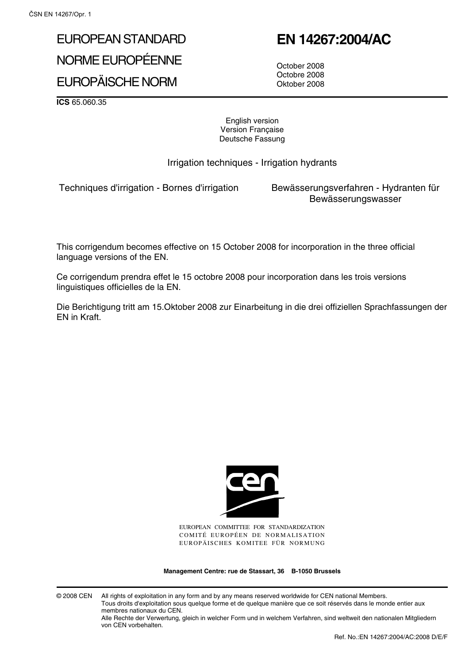## EUROPEAN STANDARD NORME EUROPÉENNE

## EUROPÄISCHE NORM

## **EN 14267:2004/AC**

October 2008 Octobre 2008 Oktober 2008

**ICS** 65.060.35

English version Version Française Deutsche Fassung

Irrigation techniques - Irrigation hydrants

Techniques d'irrigation - Bornes d'irrigation Bewässerungsverfahren - Hydranten für

Bewässerungswasser

This corrigendum becomes effective on 15 October 2008 for incorporation in the three official language versions of the EN.

Ce corrigendum prendra effet le 15 octobre 2008 pour incorporation dans les trois versions linguistiques officielles de la EN.

Die Berichtigung tritt am 15.Oktober 2008 zur Einarbeitung in die drei offiziellen Sprachfassungen der EN in Kraft.



EUROPEAN COMMITTEE FOR STANDARDIZATION COMITÉ EUROPÉEN DE NORMALISATION EUROPÄISCHES KOMITEE FÜR NORMUNG

**Management Centre: rue de Stassart, 36 B-1050 Brussels**

© 2008 CEN All rights of exploitation in any form and by any means reserved worldwide for CEN national Members. Tous droits d'exploitation sous quelque forme et de quelque manière que ce soit réservés dans le monde entier aux membres nationaux du CEN.

Alle Rechte der Verwertung, gleich in welcher Form und in welchem Verfahren, sind weltweit den nationalen Mitgliedern von CEN vorbehalten.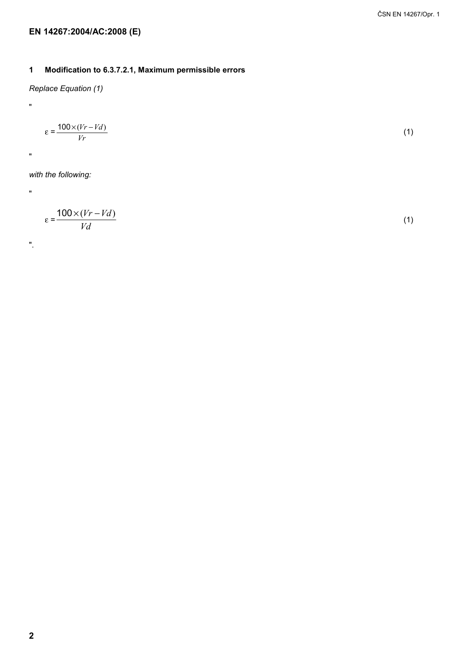#### **EN 14267:2004/AC:2008 (E)**

#### **1 Modification to 6.3.7.2.1, Maximum permissible errors**

*Replace Equation (1)* 

$$
\varepsilon = \frac{100 \times (Vr - Vd)}{Vr} \tag{1}
$$

"

"

*with the following:* 

"

$$
\varepsilon = \frac{100 \times (Vr - Vd)}{Vd} \tag{1}
$$

".